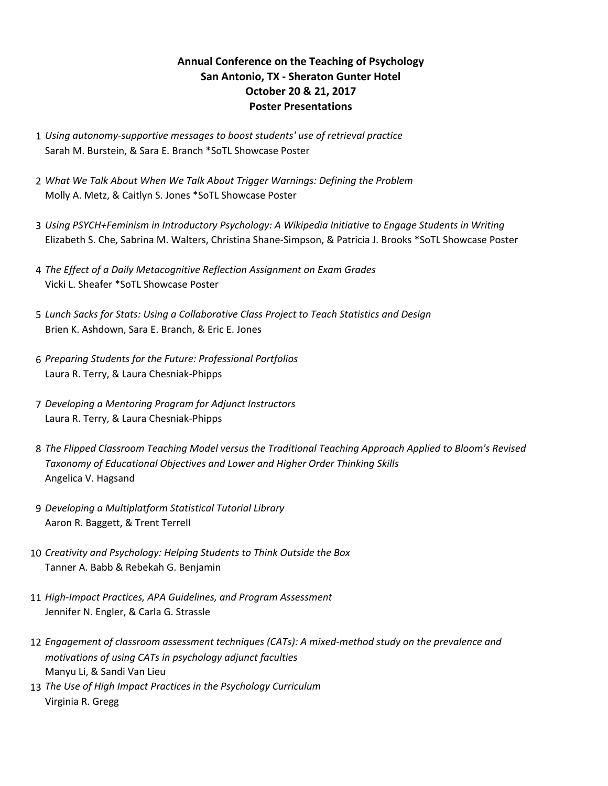## **Annual Conference on the Teaching of Psychology San Antonio, TX - Sheraton Gunter Hotel October 20 & 21, 2017 Poster Presentations**

- 1 Using autonomy-supportive messages to boost students' use of retrieval practice Sarah M. Burstein, & Sara E. Branch \*SoTL Showcase Poster
- 2 What We Talk About When We Talk About Trigger Warnings: Defining the Problem Molly A. Metz, & Caitlyn S. Jones \*SoTL Showcase Poster
- 3 *Using PSYCH+Feminism in Introductory Psychology: A Wikipedia Initiative to Engage Students in Writing* Elizabeth S. Che, Sabrina M. Walters, Christina Shane-Simpson, & Patricia J. Brooks \*SoTL Showcase Poster
- 4 *The Effect of a Daily Metacognitive Reflection Assignment on Exam Grades* Vicki L. Sheafer \*SoTL Showcase Poster
- 5 *Lunch Sacks for Stats: Using a Collaborative Class Project to Teach Statistics and Design* Brien K. Ashdown, Sara E. Branch, & Eric E. Jones
- 6 *Preparing Students for the Future: Professional Portfolios* Laura R. Terry, & Laura Chesniak-Phipps
- 7 *Developing a Mentoring Program for Adjunct Instructors* Laura R. Terry, & Laura Chesniak-Phipps
- 8 The Flipped Classroom Teaching Model versus the Traditional Teaching Approach Applied to Bloom's Revised Taxonomy of Educational Objectives and Lower and Higher Order Thinking Skills Angelica V. Hagsand
- 9 *Developing a Multiplatform Statistical Tutorial Library* Aaron R. Baggett, & Trent Terrell
- 10 *Creativity and Psychology: Helping Students to Think Outside the Box* Tanner A. Babb & Rebekah G. Benjamin
- 11 *High-Impact Practices, APA Guidelines, and Program Assessment* Jennifer N. Engler, & Carla G. Strassle
- 12 *Engagement of classroom assessment techniques (CATs): A mixed-method study on the prevalence and motivations of using CATs in psychology adjunct faculties* Manyu Li, & Sandi Van Lieu
- 13 The Use of High Impact Practices in the Psychology Curriculum Virginia R. Gregg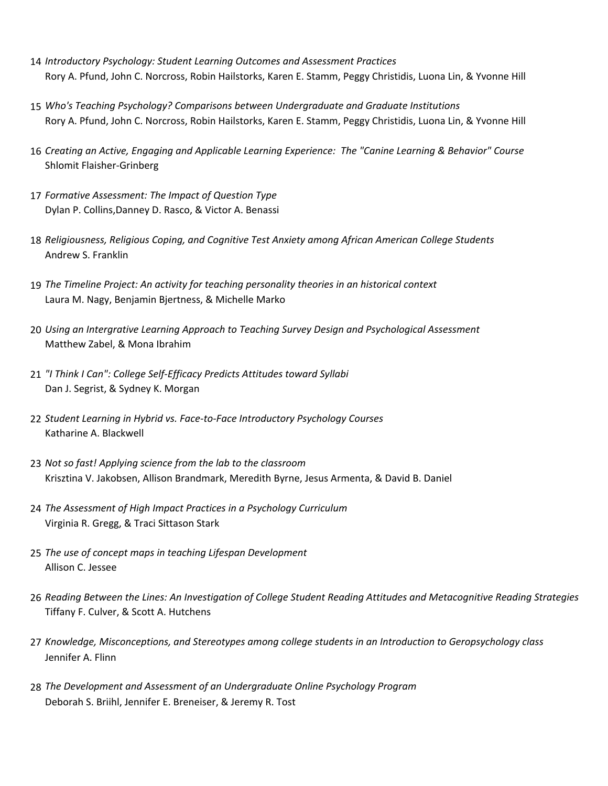- 14 *Introductory Psychology: Student Learning Outcomes and Assessment Practices* Rory A. Pfund, John C. Norcross, Robin Hailstorks, Karen E. Stamm, Peggy Christidis, Luona Lin, & Yvonne Hill
- 15 Who's Teaching Psychology? Comparisons between Undergraduate and Graduate Institutions Rory A. Pfund, John C. Norcross, Robin Hailstorks, Karen E. Stamm, Peggy Christidis, Luona Lin, & Yvonne Hill
- 16 Creating an Active, Engaging and Applicable Learning Experience: The "Canine Learning & Behavior" Course Shlomit Flaisher-Grinberg
- 17 Formative Assessment: The Impact of Question Type Dylan P. Collins, Danney D. Rasco, & Victor A. Benassi
- 18 *Religiousness, Religious Coping, and Cognitive Test Anxiety among African American College Students* Andrew S. Franklin
- 19 The Timeline Project: An activity for teaching personality theories in an historical context Laura M. Nagy, Benjamin Bjertness, & Michelle Marko
- 20 Using an Intergrative Learning Approach to Teaching Survey Design and Psychological Assessment Matthew Zabel, & Mona Ibrahim
- 21 "I Think I Can": College Self-Efficacy Predicts Attitudes toward Syllabi Dan J. Segrist, & Sydney K. Morgan
- 22 Student Learning in Hybrid vs. Face-to-Face Introductory Psychology Courses Katharine A. Blackwell
- 23 *Not so fast! Applying science from the lab to the classroom* Krisztina V. Jakobsen, Allison Brandmark, Meredith Byrne, Jesus Armenta, & David B. Daniel
- 24 The Assessment of High Impact Practices in a Psychology Curriculum Virginia R. Gregg, & Traci Sittason Stark
- 25 *The use of concept maps in teaching Lifespan Development* Allison C. Jessee
- 26 Reading Between the Lines: An Investigation of College Student Reading Attitudes and Metacognitive Reading Strategies Tiffany F. Culver, & Scott A. Hutchens
- 27 *Knowledge, Misconceptions, and Stereotypes among college students in an Introduction to Geropsychology class* Jennifer A. Flinn
- 28 The Development and Assessment of an Undergraduate Online Psychology Program Deborah S. Briihl, Jennifer E. Breneiser, & Jeremy R. Tost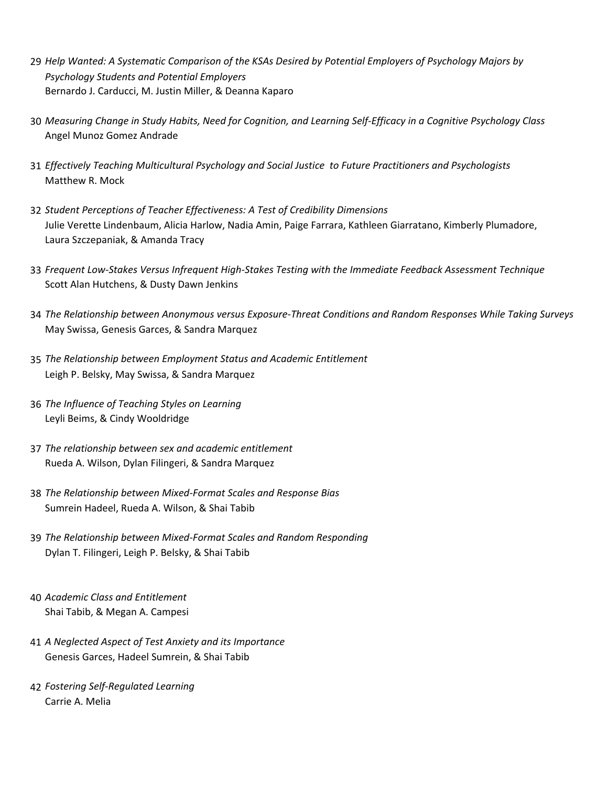- 29 *Help Wanted: A Systematic Comparison of the KSAs Desired by Potential Employers of Psychology Majors by Psychology Students and Potential Employers* Bernardo J. Carducci, M. Justin Miller, & Deanna Kaparo
- 30 *Measuring Change in Study Habits, Need for Cognition, and Learning Self-Efficacy in a Cognitive Psychology Class* Angel Munoz Gomez Andrade
- 31 *Effectively Teaching Multicultural Psychology and Social Justice to Future Practitioners and Psychologists* Matthew R. Mock
- 32 Student Perceptions of Teacher Effectiveness: A Test of Credibility Dimensions Julie Verette Lindenbaum, Alicia Harlow, Nadia Amin, Paige Farrara, Kathleen Giarratano, Kimberly Plumadore, Laura Szczepaniak, & Amanda Tracy
- 33 Frequent Low-Stakes Versus Infrequent High-Stakes Testing with the Immediate Feedback Assessment Technique Scott Alan Hutchens, & Dusty Dawn Jenkins
- 34 The Relationship between Anonymous versus Exposure-Threat Conditions and Random Responses While Taking Surveys May Swissa, Genesis Garces, & Sandra Marquez
- 35 The Relationship between Employment Status and Academic Entitlement Leigh P. Belsky, May Swissa, & Sandra Marquez
- 36 The Influence of Teaching Styles on Learning Leyli Beims, & Cindy Wooldridge
- 37 The relationship between sex and academic entitlement Rueda A. Wilson, Dylan Filingeri, & Sandra Marquez
- 38 The Relationship between Mixed-Format Scales and Response Bias Sumrein Hadeel, Rueda A. Wilson, & Shai Tabib
- 39 The Relationship between Mixed-Format Scales and Random Responding Dylan T. Filingeri, Leigh P. Belsky, & Shai Tabib
- 40 *Academic Class and Entitlement* Shai Tabib, & Megan A. Campesi
- 41 *A Neglected Aspect of Test Anxiety and its Importance* Genesis Garces, Hadeel Sumrein, & Shai Tabib
- 42 *Fostering Self-Regulated Learning* Carrie A. Melia